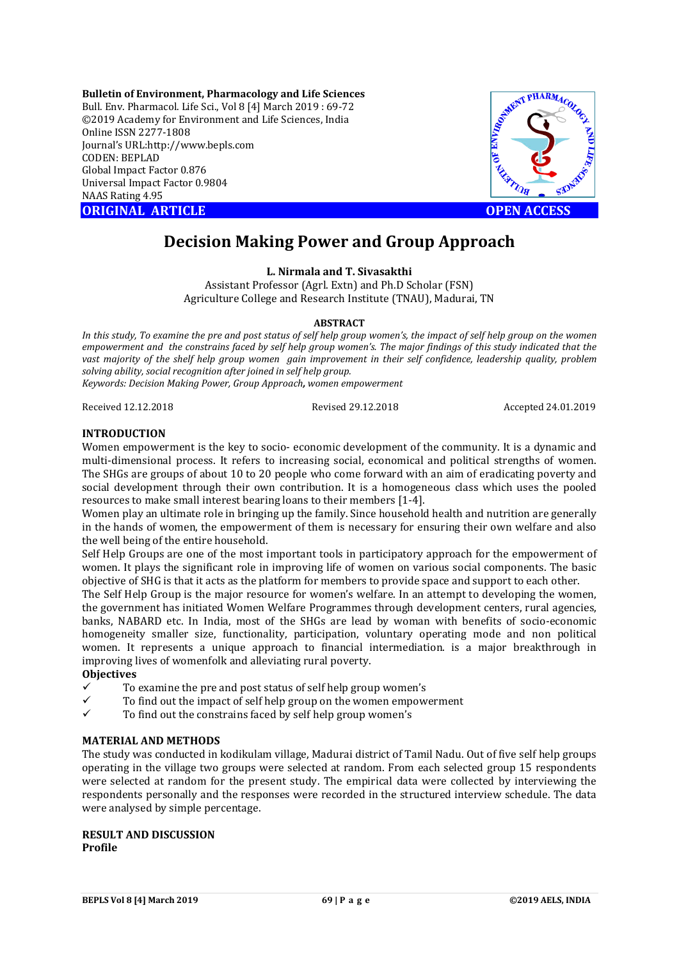**Bulletin of Environment, Pharmacology and Life Sciences** Bull. Env. Pharmacol. Life Sci., Vol 8 [4] March 2019 : 69-72 ©2019 Academy for Environment and Life Sciences, India Online ISSN 2277-1808 Journal's URL:http://www.bepls.com CODEN: BEPLAD Global Impact Factor 0.876 Universal Impact Factor 0.9804 NAAS Rating 4.95 **ORIGINAL ARTICLE OPEN ACCESS** 



# **Decision Making Power and Group Approach**

**L. Nirmala and T. Sivasakthi**

Assistant Professor (Agrl. Extn) and Ph.D Scholar (FSN) Agriculture College and Research Institute (TNAU), Madurai, TN

## **ABSTRACT**

*In this study, To examine the pre and post status of self help group women's, the impact of self help group on the women empowerment and the constrains faced by self help group women's. The major findings of this study indicated that the vast majority of the shelf help group women gain improvement in their self confidence, leadership quality, problem solving ability, social recognition after joined in self help group. Keywords: Decision Making Power, Group Approach, women empowerment*

Received 12.12.2018 Revised 29.12.2018 Accepted 24.01.2019

## **INTRODUCTION**

Women empowerment is the key to socio- economic development of the community. It is a dynamic and multi-dimensional process. It refers to increasing social, economical and political strengths of women. The SHGs are groups of about 10 to 20 people who come forward with an aim of eradicating poverty and social development through their own contribution. It is a homogeneous class which uses the pooled resources to make small interest bearing loans to their members [1-4].

Women play an ultimate role in bringing up the family. Since household health and nutrition are generally in the hands of women, the empowerment of them is necessary for ensuring their own welfare and also the well being of the entire household.

Self Help Groups are one of the most important tools in participatory approach for the empowerment of women. It plays the significant role in improving life of women on various social components. The basic objective of SHG is that it acts as the platform for members to provide space and support to each other.

The Self Help Group is the major resource for women's welfare. In an attempt to developing the women, the government has initiated Women Welfare Programmes through development centers, rural agencies, banks, NABARD etc. In India, most of the SHGs are lead by woman with benefits of socio-economic homogeneity smaller size, functionality, participation, voluntary operating mode and non political women. It represents a unique approach to financial intermediation. is a major breakthrough in improving lives of womenfolk and alleviating rural poverty.

## **Objectives**

- To examine the pre and post status of self help group women's
- $\checkmark$  To find out the impact of self help group on the women empowerment
- To find out the constrains faced by self help group women's

## **MATERIAL AND METHODS**

The study was conducted in kodikulam village, Madurai district of Tamil Nadu. Out of five self help groups operating in the village two groups were selected at random. From each selected group 15 respondents were selected at random for the present study. The empirical data were collected by interviewing the respondents personally and the responses were recorded in the structured interview schedule. The data were analysed by simple percentage.

**RESULT AND DISCUSSION Profile**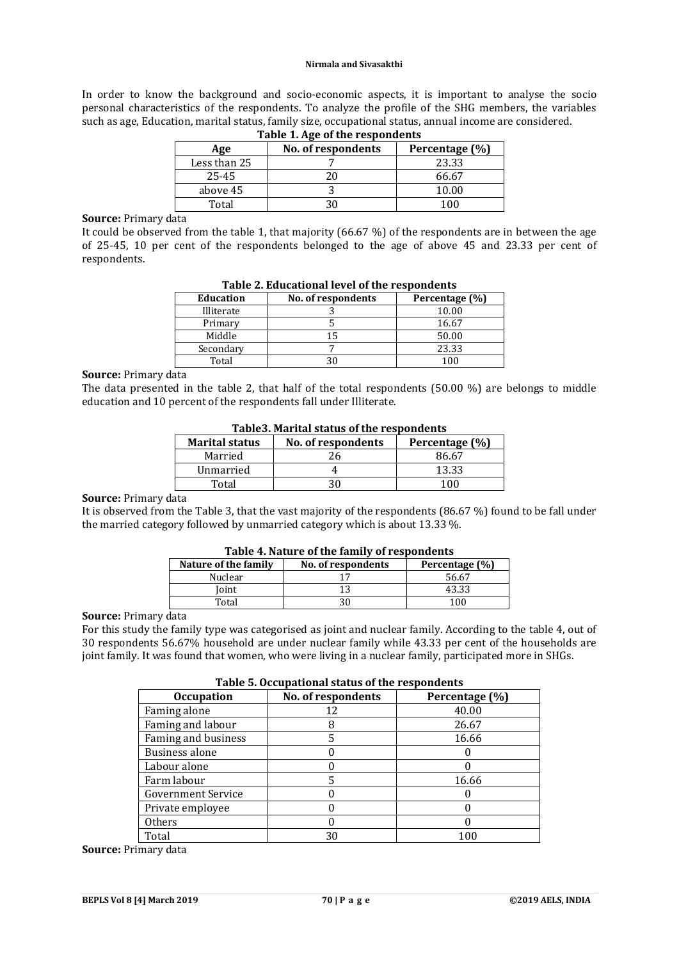#### **Nirmala and Sivasakthi**

In order to know the background and socio-economic aspects, it is important to analyse the socio personal characteristics of the respondents. To analyze the profile of the SHG members, the variables such as age, Education, marital status, family size, occupational status, annual income are considered.

| Table 1. Age of the respondents |                                      |       |  |
|---------------------------------|--------------------------------------|-------|--|
| Age                             | No. of respondents<br>Percentage (%) |       |  |
| Less than 25                    |                                      | 23.33 |  |
| 25-45                           |                                      | 66.67 |  |
| above 45                        |                                      | 10.00 |  |
| Total                           |                                      | 1 በበ  |  |

## **Table 1. Age of the respondents**

## **Source:** Primary data

It could be observed from the table 1, that majority (66.67 %) of the respondents are in between the age of 25-45, 10 per cent of the respondents belonged to the age of above 45 and 23.33 per cent of respondents.

|                  | .                  |                |  |  |  |
|------------------|--------------------|----------------|--|--|--|
| <b>Education</b> | No. of respondents | Percentage (%) |  |  |  |
| Illiterate       |                    | 10.00          |  |  |  |
| Primary          |                    | 16.67          |  |  |  |
| Middle           |                    | 50.00          |  |  |  |
| Secondary        |                    | 23.33          |  |  |  |
| Total            |                    | 100            |  |  |  |
|                  |                    |                |  |  |  |

## **Table 2. Educational level of the respondents**

### **Source:** Primary data

The data presented in the table 2, that half of the total respondents (50.00 %) are belongs to middle education and 10 percent of the respondents fall under Illiterate.

| Tables. Marital status of the respondents                     |    |       |  |  |
|---------------------------------------------------------------|----|-------|--|--|
| <b>Marital status</b><br>No. of respondents<br>Percentage (%) |    |       |  |  |
| Married                                                       | 26 | 86.67 |  |  |
| Unmarried                                                     |    | 13.33 |  |  |
| Total                                                         |    | 100   |  |  |

## **Table3. Marital status of the respondents**

#### **Source:** Primary data

It is observed from the Table 3, that the vast majority of the respondents (86.67 %) found to be fall under the married category followed by unmarried category which is about 13.33 %.

| Table 4. Nature of the family of respondents                 |    |       |  |  |  |  |
|--------------------------------------------------------------|----|-------|--|--|--|--|
| Nature of the family<br>No. of respondents<br>Percentage (%) |    |       |  |  |  |  |
| Nuclear                                                      |    | 56.67 |  |  |  |  |
| Ioint                                                        | 13 | 43.33 |  |  |  |  |
| Total                                                        |    | 100   |  |  |  |  |

# **Table 4. Nature of the family of respondents**

### **Source:** Primary data

For this study the family type was categorised as joint and nuclear family. According to the table 4, out of 30 respondents 56.67% household are under nuclear family while 43.33 per cent of the households are joint family. It was found that women, who were living in a nuclear family, participated more in SHGs.

### **Table 5. Occupational status of the respondents**

| Tuble of occupational biatub of the respondents |                    |                |  |  |  |
|-------------------------------------------------|--------------------|----------------|--|--|--|
| <b>Occupation</b>                               | No. of respondents | Percentage (%) |  |  |  |
| Faming alone                                    | 12                 | 40.00          |  |  |  |
| Faming and labour                               |                    | 26.67          |  |  |  |
| Faming and business                             |                    | 16.66          |  |  |  |
| Business alone                                  |                    |                |  |  |  |
| Labour alone                                    |                    |                |  |  |  |
| Farm labour                                     |                    | 16.66          |  |  |  |
| <b>Government Service</b>                       |                    |                |  |  |  |
| Private employee                                |                    |                |  |  |  |
| <b>Others</b>                                   |                    |                |  |  |  |
| Total                                           | 30                 | 100            |  |  |  |

**Source:** Primary data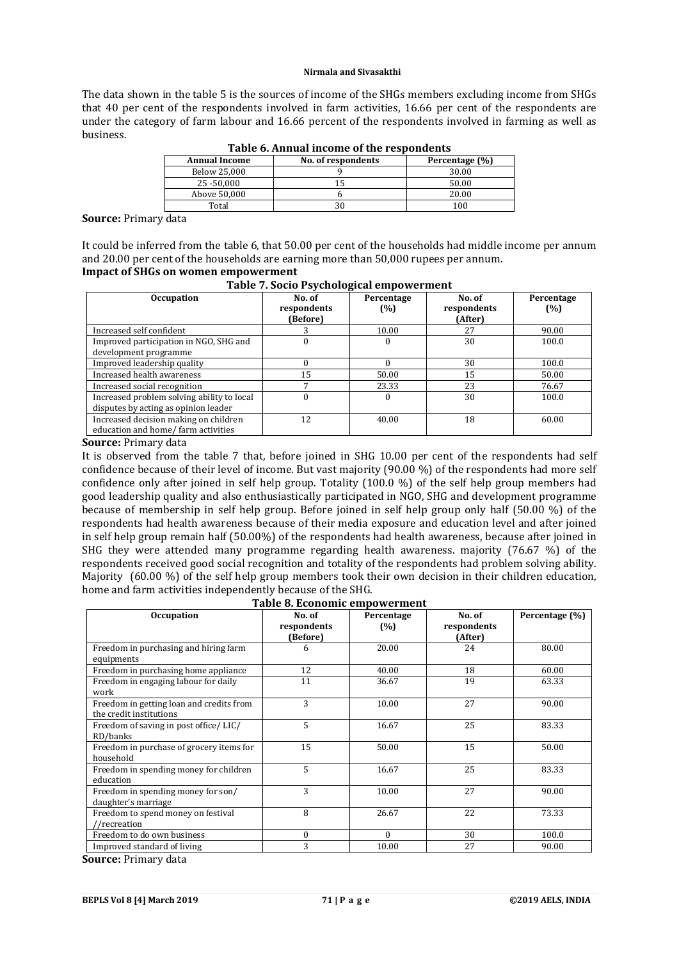### **Nirmala and Sivasakthi**

The data shown in the table 5 is the sources of income of the SHGs members excluding income from SHGs that 40 per cent of the respondents involved in farm activities, 16.66 per cent of the respondents are under the category of farm labour and 16.66 percent of the respondents involved in farming as well as business.

| <b>Annual Income</b> | No. of respondents | Percentage (%) |
|----------------------|--------------------|----------------|
| Below 25,000         |                    | 30.00          |
| 25 - 50.000          |                    | 50.00          |
| Above 50,000         |                    | 20.00          |
| Total                | 21                 | 100            |

| Table 6. Annual income of the respondents |
|-------------------------------------------|
|-------------------------------------------|

**Source:** Primary data

It could be inferred from the table 6, that 50.00 per cent of the households had middle income per annum and 20.00 per cent of the households are earning more than 50,000 rupees per annum.

# **Impact of SHGs on women empowerment**

| Table 7. Socio Psychological empowerment                                           |                                   |                   |                                  |                   |  |
|------------------------------------------------------------------------------------|-----------------------------------|-------------------|----------------------------------|-------------------|--|
| <b>Occupation</b>                                                                  | No. of<br>respondents<br>(Before) | Percentage<br>(%) | No. of<br>respondents<br>(After) | Percentage<br>(%) |  |
| Increased self confident                                                           |                                   | 10.00             | 27                               | 90.00             |  |
| Improved participation in NGO, SHG and<br>development programme                    | $\theta$                          | 0                 | 30                               | 100.0             |  |
| Improved leadership quality                                                        |                                   |                   | 30                               | 100.0             |  |
| Increased health awareness                                                         | 15                                | 50.00             | 15                               | 50.00             |  |
| Increased social recognition                                                       | $\overline{ }$                    | 23.33             | 23                               | 76.67             |  |
| Increased problem solving ability to local<br>disputes by acting as opinion leader | $\Omega$                          | $\Omega$          | 30                               | 100.0             |  |
| Increased decision making on children<br>education and home/farm activities        | 12                                | 40.00             | 18                               | 60.00             |  |

**Source:** Primary data

It is observed from the table 7 that, before joined in SHG 10.00 per cent of the respondents had self confidence because of their level of income. But vast majority (90.00 %) of the respondents had more self confidence only after joined in self help group. Totality (100.0 %) of the self help group members had good leadership quality and also enthusiastically participated in NGO, SHG and development programme because of membership in self help group. Before joined in self help group only half (50.00 %) of the respondents had health awareness because of their media exposure and education level and after joined in self help group remain half (50.00%) of the respondents had health awareness, because after joined in SHG they were attended many programme regarding health awareness. majority (76.67 %) of the respondents received good social recognition and totality of the respondents had problem solving ability. Majority (60.00 %) of the self help group members took their own decision in their children education, home and farm activities independently because of the SHG.

**Table 8. Economic empowerment**

| <b>Occupation</b>                        | No. of<br>respondents | Percentage<br>(%) | No. of<br>respondents | Percentage (%) |
|------------------------------------------|-----------------------|-------------------|-----------------------|----------------|
|                                          | (Before)              |                   | (After)               |                |
| Freedom in purchasing and hiring farm    | 6                     | 20.00             | 24                    | 80.00          |
| equipments                               |                       |                   |                       |                |
| Freedom in purchasing home appliance     | 12                    | 40.00             | 18                    | 60.00          |
| Freedom in engaging labour for daily     | 11                    | 36.67             | 19                    | 63.33          |
| work                                     |                       |                   |                       |                |
| Freedom in getting loan and credits from | 3                     | 10.00             | 27                    | 90.00          |
| the credit institutions                  |                       |                   |                       |                |
| Freedom of saving in post office/LIC/    | 5                     | 16.67             | 25                    | 83.33          |
| RD/banks                                 |                       |                   |                       |                |
| Freedom in purchase of grocery items for | 15                    | 50.00             | 15                    | 50.00          |
| household                                |                       |                   |                       |                |
| Freedom in spending money for children   | 5                     | 16.67             | 25                    | 83.33          |
| education                                |                       |                   |                       |                |
| Freedom in spending money for son/       | 3                     | 10.00             | 27                    | 90.00          |
| daughter's marriage                      |                       |                   |                       |                |
| Freedom to spend money on festival       | 8                     | 26.67             | 22                    | 73.33          |
| //recreation                             |                       |                   |                       |                |
| Freedom to do own business               | 0                     | $\Omega$          | 30                    | 100.0          |
| Improved standard of living              | 3                     | 10.00             | 27                    | 90.00          |

**Source:** Primary data